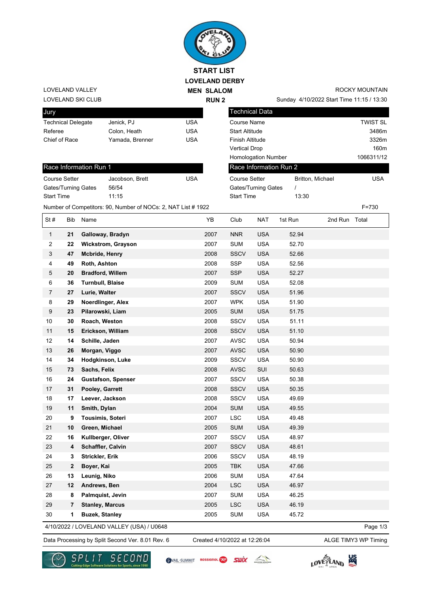

LOVELAND SKI CLUB LOVELAND VALLEY

| Jury                      |                 |     |
|---------------------------|-----------------|-----|
| <b>Technical Delegate</b> | Jenick, PJ      | USA |
| Referee                   | Colon. Heath    | USA |
| Chief of Race             | Yamada, Brenner | USA |
|                           |                 |     |

## Race Information Run 1

| <b>Course Setter</b>       | Jacobson, Brett | USA |
|----------------------------|-----------------|-----|
| <b>Gates/Turning Gates</b> | 56/54           |     |
| <b>Start Time</b>          | 11.15           |     |

Sunday 4/10/2022 Start Time 11:15 / 13:30 ROCKY MOUNTAIN

| <b>Technical Data</b>      |                  |                 |
|----------------------------|------------------|-----------------|
| Course Name                |                  | <b>TWIST SL</b> |
| <b>Start Altitude</b>      |                  | 3486m           |
| <b>Finish Altitude</b>     |                  | 3326m           |
| <b>Vertical Drop</b>       |                  | 160m            |
| <b>Homologation Number</b> |                  | 1066311/12      |
| Race Information Run 2     |                  |                 |
| Course Setter              | Britton, Michael | USA             |
| Gates/Turning Gates        |                  |                 |
| <b>Start Time</b>          | 13:30            |                 |

Number of Competitors: 90, Number of NOCs: 2, NAT List # 1922 F=730

| St#              | Bib                     | Name                                      | YB   | Club        | <b>NAT</b> | 1st Run | 2nd Run Total |          |
|------------------|-------------------------|-------------------------------------------|------|-------------|------------|---------|---------------|----------|
| $\mathbf{1}$     | 21                      | Galloway, Bradyn                          | 2007 | <b>NNR</b>  | <b>USA</b> | 52.94   |               |          |
| $\overline{2}$   | 22                      | <b>Wickstrom, Grayson</b>                 | 2007 | <b>SUM</b>  | <b>USA</b> | 52.70   |               |          |
| 3                | 47                      | <b>Mcbride, Henry</b>                     | 2008 | <b>SSCV</b> | <b>USA</b> | 52.66   |               |          |
| $\overline{4}$   | 49                      | Roth, Ashton                              | 2008 | SSP         | <b>USA</b> | 52.56   |               |          |
| 5                | 20                      | <b>Bradford, Willem</b>                   | 2007 | <b>SSP</b>  | <b>USA</b> | 52.27   |               |          |
| 6                | 36                      | <b>Turnbull, Blaise</b>                   | 2009 | <b>SUM</b>  | <b>USA</b> | 52.08   |               |          |
| $\overline{7}$   | 27                      | Lurie, Walter                             | 2007 | <b>SSCV</b> | <b>USA</b> | 51.96   |               |          |
| 8                | 29                      | Noerdlinger, Alex                         | 2007 | <b>WPK</b>  | <b>USA</b> | 51.90   |               |          |
| $\boldsymbol{9}$ | 23                      | Pilarowski, Liam                          | 2005 | <b>SUM</b>  | <b>USA</b> | 51.75   |               |          |
| 10               | 30                      | Roach, Weston                             | 2008 | <b>SSCV</b> | <b>USA</b> | 51.11   |               |          |
| 11               | 15                      | Erickson, William                         | 2008 | <b>SSCV</b> | <b>USA</b> | 51.10   |               |          |
| 12               | 14                      | Schille, Jaden                            | 2007 | <b>AVSC</b> | <b>USA</b> | 50.94   |               |          |
| 13               | 26                      | Morgan, Viggo                             | 2007 | <b>AVSC</b> | <b>USA</b> | 50.90   |               |          |
| 14               | 34                      | Hodgkinson, Luke                          | 2009 | <b>SSCV</b> | <b>USA</b> | 50.90   |               |          |
| 15               | 73                      | Sachs, Felix                              | 2008 | <b>AVSC</b> | SUI        | 50.63   |               |          |
| 16               | 24                      | <b>Gustafson, Spenser</b>                 | 2007 | SSCV        | <b>USA</b> | 50.38   |               |          |
| 17               | 31                      | Pooley, Garrett                           | 2008 | <b>SSCV</b> | <b>USA</b> | 50.35   |               |          |
| 18               | 17                      | Leever, Jackson                           | 2008 | <b>SSCV</b> | <b>USA</b> | 49.69   |               |          |
| 19               | 11                      | Smith, Dylan                              | 2004 | <b>SUM</b>  | <b>USA</b> | 49.55   |               |          |
| 20               | 9                       | <b>Tousimis, Soteri</b>                   | 2007 | <b>LSC</b>  | <b>USA</b> | 49.48   |               |          |
| 21               | 10                      | Green, Michael                            | 2005 | <b>SUM</b>  | <b>USA</b> | 49.39   |               |          |
| 22               | 16                      | Kullberger, Oliver                        | 2007 | <b>SSCV</b> | <b>USA</b> | 48.97   |               |          |
| 23               | 4                       | Schaffler, Calvin                         | 2007 | <b>SSCV</b> | <b>USA</b> | 48.61   |               |          |
| 24               | 3                       | Strickler, Erik                           | 2006 | SSCV        | <b>USA</b> | 48.19   |               |          |
| 25               | 2                       | Boyer, Kai                                | 2005 | <b>TBK</b>  | <b>USA</b> | 47.66   |               |          |
| 26               | 13                      | Leunig, Niko                              | 2006 | <b>SUM</b>  | <b>USA</b> | 47.64   |               |          |
| 27               | 12                      | Andrews, Ben                              | 2004 | <b>LSC</b>  | <b>USA</b> | 46.97   |               |          |
| 28               | 8                       | Palmquist, Jevin                          | 2007 | <b>SUM</b>  | <b>USA</b> | 46.25   |               |          |
| 29               | $\overline{\mathbf{r}}$ | <b>Stanley, Marcus</b>                    | 2005 | <b>LSC</b>  | <b>USA</b> | 46.19   |               |          |
| 30               | 1                       | <b>Buzek, Stanley</b>                     | 2005 | <b>SUM</b>  | <b>USA</b> | 45.72   |               |          |
|                  |                         | 4/10/2022 / LOVELAND VALLEY (USA) / U0648 |      |             |            |         |               | Page 1/3 |

Data Processing by Split Second Ver. 8.01 Rev. 6 Created 4/10/2022 at 12:26:04 ALGE TIMY3 WP Timing

Created 4/10/2022 at 12:26:04



SVAIL-SUMMIT ROSSIGNOL SWIX



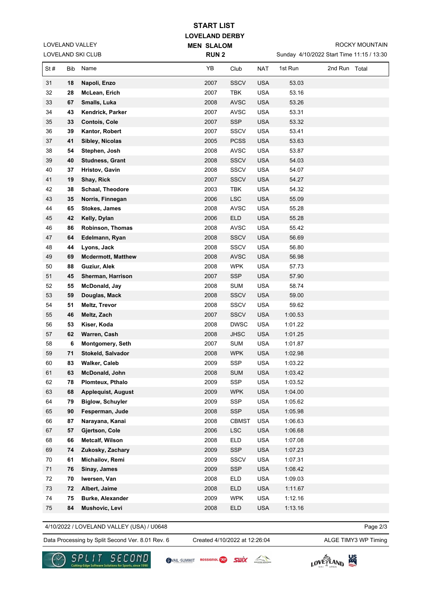| <b>START LIST</b> |
|-------------------|
|-------------------|

**LOVELAND DERBY MEN SLALOM** 

LOVELAND SKI CLUB LOVELAND VALLEY

| LOVELAND SKI CLUB |     | <b>RUN2</b>               |      |              | Sunday 4/10/2022 Start Time 11:15 / 13:30 |         |               |  |
|-------------------|-----|---------------------------|------|--------------|-------------------------------------------|---------|---------------|--|
| St#               | Bib | Name                      | YB   | Club         | <b>NAT</b>                                | 1st Run | 2nd Run Total |  |
| 31                | 18  | Napoli, Enzo              | 2007 | <b>SSCV</b>  | <b>USA</b>                                | 53.03   |               |  |
| 32                | 28  | McLean, Erich             | 2007 | <b>TBK</b>   | <b>USA</b>                                | 53.16   |               |  |
| 33                | 67  | Smalls, Luka              | 2008 | <b>AVSC</b>  | <b>USA</b>                                | 53.26   |               |  |
| 34                | 43  | Kendrick, Parker          | 2007 | <b>AVSC</b>  | <b>USA</b>                                | 53.31   |               |  |
| 35                | 33  | Contois, Cole             | 2007 | <b>SSP</b>   | <b>USA</b>                                | 53.32   |               |  |
| 36                | 39  | Kantor, Robert            | 2007 | <b>SSCV</b>  | <b>USA</b>                                | 53.41   |               |  |
| 37                | 41  | Sibley, Nicolas           | 2005 | <b>PCSS</b>  | <b>USA</b>                                | 53.63   |               |  |
| 38                | 54  | Stephen, Josh             | 2008 | <b>AVSC</b>  | <b>USA</b>                                | 53.87   |               |  |
| 39                | 40  | <b>Studness, Grant</b>    | 2008 | <b>SSCV</b>  | <b>USA</b>                                | 54.03   |               |  |
| 40                | 37  | Hristov, Gavin            | 2008 | <b>SSCV</b>  | <b>USA</b>                                | 54.07   |               |  |
| 41                | 19  | Shay, Rick                | 2007 | <b>SSCV</b>  | <b>USA</b>                                | 54.27   |               |  |
| 42                | 38  | Schaal, Theodore          | 2003 | <b>TBK</b>   | <b>USA</b>                                | 54.32   |               |  |
| 43                | 35  | Norris, Finnegan          | 2006 | <b>LSC</b>   | <b>USA</b>                                | 55.09   |               |  |
| 44                | 65  | <b>Stokes, James</b>      | 2008 | AVSC         | <b>USA</b>                                | 55.28   |               |  |
| 45                | 42  | Kelly, Dylan              | 2006 | <b>ELD</b>   | <b>USA</b>                                | 55.28   |               |  |
| 46                | 86  | Robinson, Thomas          | 2008 | <b>AVSC</b>  | <b>USA</b>                                | 55.42   |               |  |
| 47                | 64  | Edelmann, Ryan            | 2008 | <b>SSCV</b>  | <b>USA</b>                                | 56.69   |               |  |
| 48                | 44  | Lyons, Jack               | 2008 | SSCV         | <b>USA</b>                                | 56.80   |               |  |
| 49                | 69  | <b>Mcdermott, Matthew</b> | 2008 | <b>AVSC</b>  | <b>USA</b>                                | 56.98   |               |  |
| 50                | 88  | Guziur, Alek              | 2008 | <b>WPK</b>   | <b>USA</b>                                | 57.73   |               |  |
| 51                | 45  | Sherman, Harrison         | 2007 | <b>SSP</b>   | <b>USA</b>                                | 57.90   |               |  |
| 52                | 55  | McDonald, Jay             | 2008 | <b>SUM</b>   | <b>USA</b>                                | 58.74   |               |  |
| 53                | 59  | Douglas, Mack             | 2008 | <b>SSCV</b>  | <b>USA</b>                                | 59.00   |               |  |
| 54                | 51  | Meltz, Trevor             | 2008 | <b>SSCV</b>  | <b>USA</b>                                | 59.62   |               |  |
| 55                | 46  | Meltz, Zach               | 2007 | <b>SSCV</b>  | <b>USA</b>                                | 1:00.53 |               |  |
| 56                | 53  | Kiser, Koda               | 2008 | <b>DWSC</b>  | <b>USA</b>                                | 1:01.22 |               |  |
| 57                | 62  | Warren, Cash              | 2008 | <b>JHSC</b>  | <b>USA</b>                                | 1:01.25 |               |  |
| 58                | 6   | <b>Montgomery, Seth</b>   | 2007 | <b>SUM</b>   | <b>USA</b>                                | 1:01.87 |               |  |
| 59                | 71  | Stokeld, Salvador         | 2008 | <b>WPK</b>   | <b>USA</b>                                | 1:02.98 |               |  |
| 60                | 83  | Walker, Caleb             | 2009 | <b>SSP</b>   | <b>USA</b>                                | 1:03.22 |               |  |
| 61                | 63  | <b>McDonald, John</b>     | 2008 | <b>SUM</b>   | <b>USA</b>                                | 1:03.42 |               |  |
| 62                | 78  | Plomteux, Pthalo          | 2009 | <b>SSP</b>   | <b>USA</b>                                | 1:03.52 |               |  |
| 63                | 68  | <b>Applequist, August</b> | 2009 | <b>WPK</b>   | <b>USA</b>                                | 1:04.00 |               |  |
| 64                | 79  | <b>Biglow, Schuyler</b>   | 2009 | SSP          | <b>USA</b>                                | 1:05.62 |               |  |
| 65                | 90  | Fesperman, Jude           | 2008 | <b>SSP</b>   | <b>USA</b>                                | 1:05.98 |               |  |
| 66                | 87  | Narayana, Kanai           | 2008 | <b>CBMST</b> | <b>USA</b>                                | 1:06.63 |               |  |
| 67                | 57  | Gjertson, Cole            | 2006 | <b>LSC</b>   | <b>USA</b>                                | 1:06.68 |               |  |
| 68                | 66  | <b>Metcalf, Wilson</b>    | 2008 | <b>ELD</b>   | <b>USA</b>                                | 1:07.08 |               |  |
| 69                | 74  | Zukosky, Zachary          | 2009 | <b>SSP</b>   | <b>USA</b>                                | 1:07.23 |               |  |
| 70                | 61  | Michailov, Remi           | 2009 | <b>SSCV</b>  | <b>USA</b>                                | 1:07.31 |               |  |
| 71                | 76  | Sinay, James              | 2009 | <b>SSP</b>   | <b>USA</b>                                | 1:08.42 |               |  |
| 72                | 70  | Iwersen, Van              | 2008 | <b>ELD</b>   | <b>USA</b>                                | 1:09.03 |               |  |
| 73                | 72  | Albert, Jaime             | 2008 | <b>ELD</b>   | <b>USA</b>                                | 1:11.67 |               |  |
| 74                | 75  | <b>Burke, Alexander</b>   | 2009 | <b>WPK</b>   | <b>USA</b>                                | 1:12.16 |               |  |
| ${\bf 75}$        | 84  | Mushovic, Levi            | 2008 | <b>ELD</b>   | <b>USA</b>                                | 1:13.16 |               |  |

4/10/2022 / LOVELAND VALLEY (USA) / U0648

Page 2/3

Data Processing by Split Second Ver. 8.01 Rev. 6 Created 4/10/2022 at 12:26:04 ALGE TIMY3 WP Timing

Created 4/10/2022 at 12:26:04